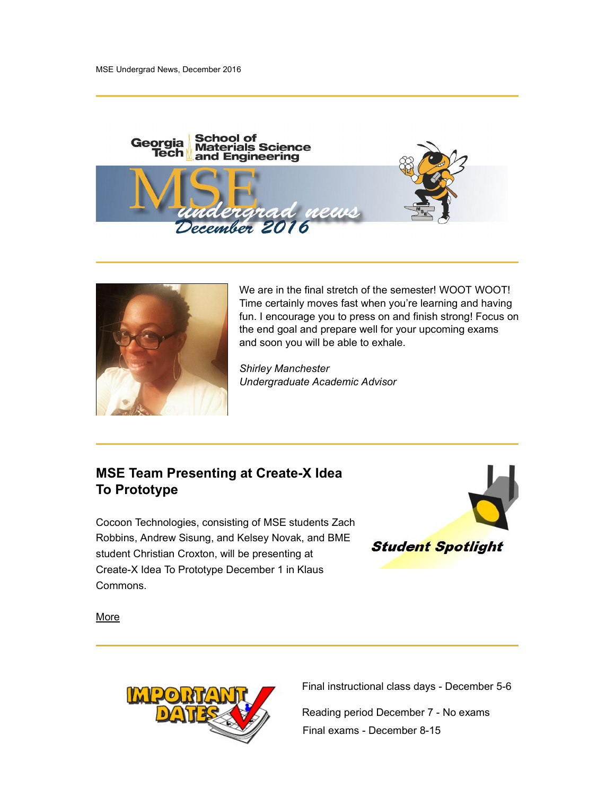



We are in the final stretch of the semester! WOOT WOOT! Time certainly moves fast when you're learning and having fun. I encourage you to press on and finish strong! Focus on the end goal and prepare well for your upcoming exams and soon you will be able to exhale.

Shirley Manchester Undergraduate Academic Advisor

# MSE Team Presenting at Create-X Idea To Prototype

Cocoon Technologies, consisting of MSE students Zach Robbins, Andrew Sisung, and Kelsey Novak, and BME<br>atudent Christian Creator, will be association of **Student Spotlight** student Christian Croxton, will be presenting at Create-X Idea To Prototype December 1 in Klaus Commons.



**More** 



Final instructional class days - December 5-6

Reading period December 7 - No exams Final exams - December 8-15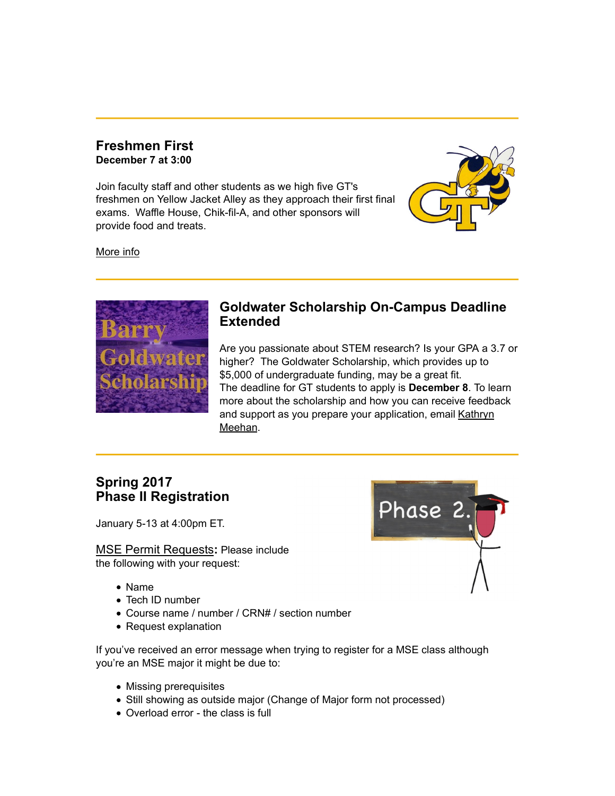## Freshmen First December 7 at 3:00

Join faculty staff and other students as we high five GT's freshmen on Yellow Jacket Alley as they approach their first final exams. Waffle House, Chik-fil-A, and other sponsors will provide food and treats.



More info



# Goldwater Scholarship On-Campus Deadline **Extended**

Are you passionate about STEM research? Is your GPA a 3.7 or higher? The Goldwater Scholarship, which provides up to \$5,000 of undergraduate funding, may be a great fit. The deadline for GT students to apply is December 8. To learn more about the scholarship and how you can receive feedback and support as you prepare your application, email Kathryn Meehan.

# Spring 2017

January 5-13 at 4:00pm ET.

MSE Permit Requests: Please include the following with your request:

- Name
- Tech ID number
- Course name / number / CRN# / section number
- Request explanation

If you've received an error message when trying to register for a MSE class although you're an MSE major it might be due to:

- Missing prerequisites
- Still showing as outside major (Change of Major form not processed)
- Overload error the class is full

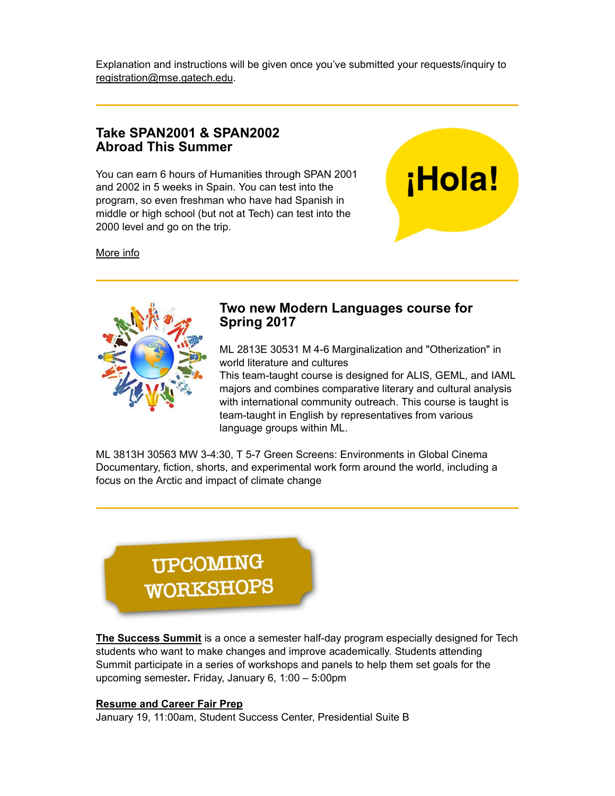Explanation and instructions will be given once you've submitted your requests/inquiry to registration@mse.gatech.edu.

# Take SPAN2001 & SPAN2002 Abroad This Summer

You can earn 6 hours of Humanities through SPAN 2001<br>and 2002 in 5 weeks in Spain. You can test into the and 2002 in 5 weeks in Spain. You can test into the program, so even freshman who have had Spanish in middle or high school (but not at Tech) can test into the 2000 level and go on the trip.

More info



# Two new Modern Languages course for Spring 2017

ML 2813E 30531 M 4-6 Marginalization and "Otherization" in world literature and cultures

This team-taught course is designed for ALIS, GEML, and IAML majors and combines comparative literary and cultural analysis with international community outreach. This course is taught is team-taught in English by representatives from various language groups within ML.

ML 3813H 30563 MW 3-4:30, T 5-7 Green Screens: Environments in Global Cinema Documentary, fiction, shorts, and experimental work form around the world, including a focus on the Arctic and impact of climate change



The Success Summit is a once a semester half-day program especially designed for Tech students who want to make changes and improve academically. Students attending Summit participate in a series of workshops and panels to help them set goals for the upcoming semester. Friday, January 6, 1:00 – 5:00pm

### Resume and Career Fair Prep

January 19, 11:00am, Student Success Center, Presidential Suite B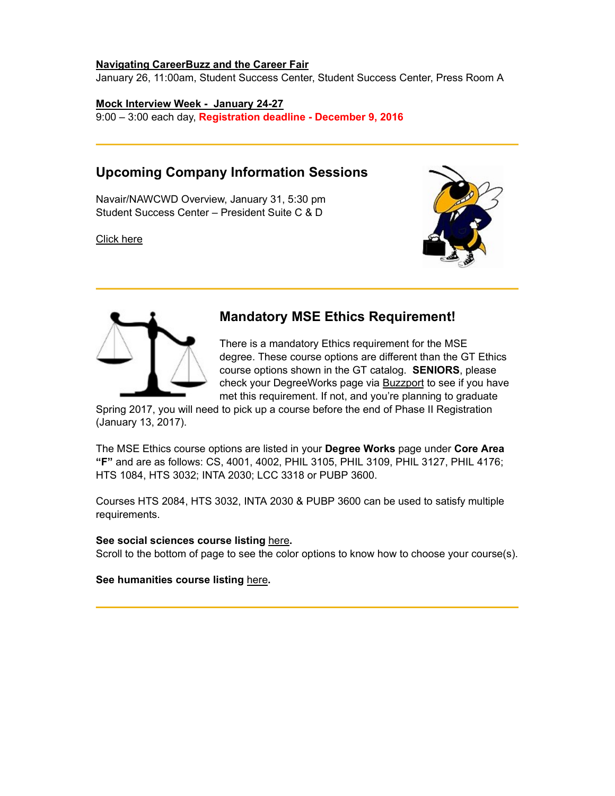#### Navigating CareerBuzz and the Career Fair

January 26, 11:00am, Student Success Center, Student Success Center, Press Room A

### Mock Interview Week - January 24-27

9:00 – 3:00 each day, Registration deadline - December 9, 2016

# Upcoming Company Information Sessions

Navair/NAWCWD Overview, January 31, 5:30 pm Student Success Center – President Suite C & D

Click here





# Mandatory MSE Ethics Requirement!

There is a mandatory Ethics requirement for the MSE degree. These course options are different than the GT Ethics course options shown in the GT catalog. SENIORS, please check your DegreeWorks page via **Buzzport** to see if you have met this requirement. If not, and you're planning to graduate

Spring 2017, you will need to pick up a course before the end of Phase II Registration (January 13, 2017).

The MSE Ethics course options are listed in your Degree Works page under Core Area "F" and are as follows: CS, 4001, 4002, PHIL 3105, PHIL 3109, PHIL 3127, PHIL 4176; HTS 1084, HTS 3032; INTA 2030; LCC 3318 or PUBP 3600.

Courses HTS 2084, HTS 3032, INTA 2030 & PUBP 3600 can be used to satisfy multiple requirements.

#### See social sciences course listing here.

Scroll to the bottom of page to see the color options to know how to choose your course(s).

See humanities course listing here.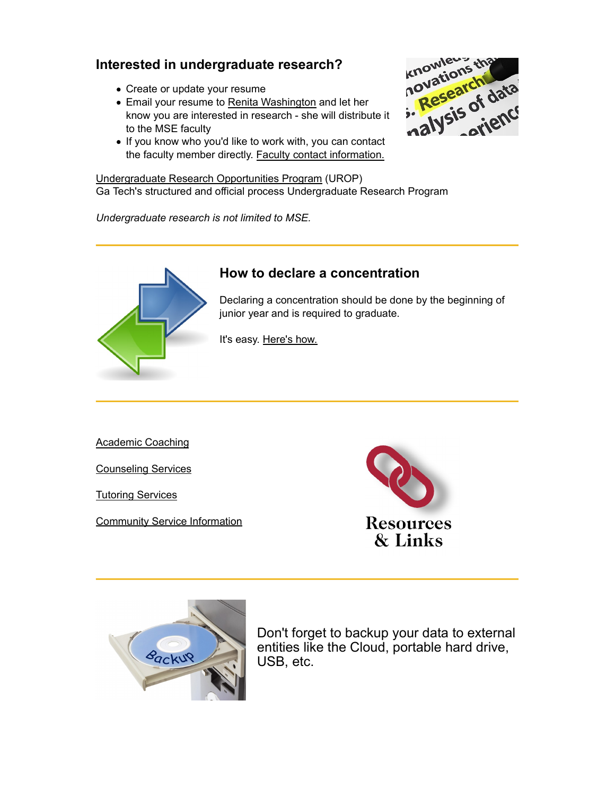- Create or update your resume
- Email your resume to Renita Washington and let her know you are interested in research - she will distribute it to the MSE faculty
- If you know who you'd like to work with, you can contact the faculty member directly. Faculty contact information.

Undergraduate Research Opportunities Program (UROP) Ga Tech's structured and official process Undergraduate Research Program

Undergraduate research is not limited to MSE.





# How to declare a concentration

Declaring a concentration should be done by the beginning of junior year and is required to graduate.

It's easy. Here's how.

Academic Coaching

Counseling Services

Tutoring Services

**Community Service Information** extended to the **Resources** 





Don't forget to backup your data to external entities like the Cloud, portable hard drive, USB, etc.